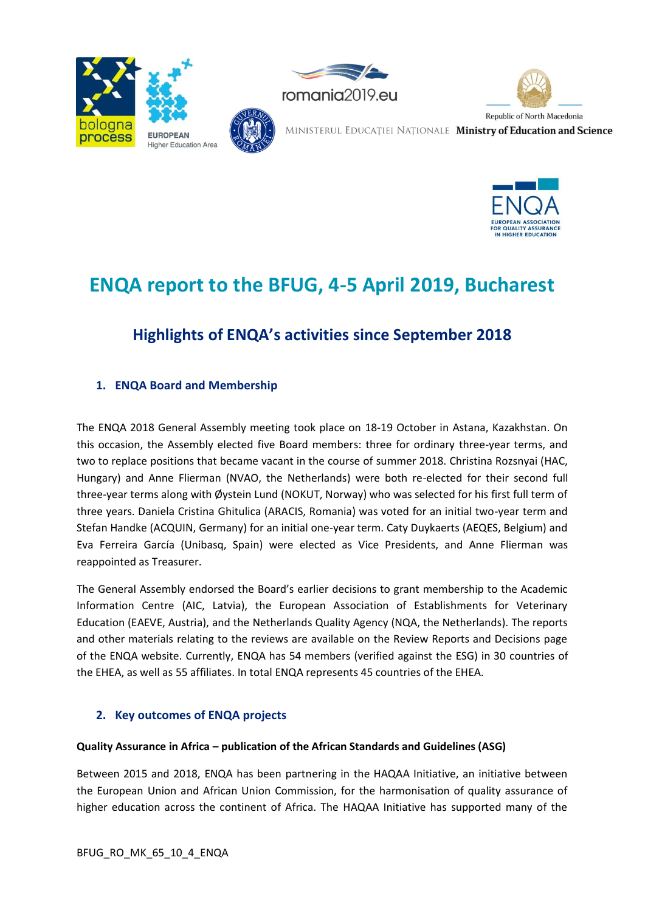







# **ENQA report to the BFUG, 4-5 April 2019, Bucharest**

# **Highlights of ENQA's activities since September 2018**

# **1. ENQA Board and Membership**

The ENQA 2018 General Assembly meeting took place on 18-19 October in Astana, Kazakhstan. On this occasion, the Assembly elected five Board members: three for ordinary three-year terms, and two to replace positions that became vacant in the course of summer 2018. Christina Rozsnyai (HAC, Hungary) and Anne Flierman (NVAO, the Netherlands) were both re-elected for their second full three-year terms along with Øystein Lund (NOKUT, Norway) who was selected for his first full term of three years. Daniela Cristina Ghitulica (ARACIS, Romania) was voted for an initial two-year term and Stefan Handke (ACQUIN, Germany) for an initial one-year term. Caty Duykaerts (AEQES, Belgium) and Eva Ferreira García (Unibasq, Spain) were elected as Vice Presidents, and Anne Flierman was reappointed as Treasurer.

The General Assembly endorsed the Board's earlier decisions to grant membership to the Academic Information Centre (AIC, Latvia), the European Association of Establishments for Veterinary Education (EAEVE, Austria), and the Netherlands Quality Agency (NQA, the Netherlands). The reports and other materials relating to the reviews are available on the Review Reports and Decisions page of the ENQA website. Currently, ENQA has 54 members (verified against the ESG) in 30 countries of the EHEA, as well as 55 affiliates. In total ENQA represents 45 countries of the EHEA.

# **2. Key outcomes of ENQA projects**

### **Quality Assurance in Africa – publication of the African Standards and Guidelines (ASG)**

Between 2015 and 2018, ENQA has been partnering in the HAQAA Initiative, an initiative between the European Union and African Union Commission, for the harmonisation of quality assurance of higher education across the continent of Africa. The HAQAA Initiative has supported many of the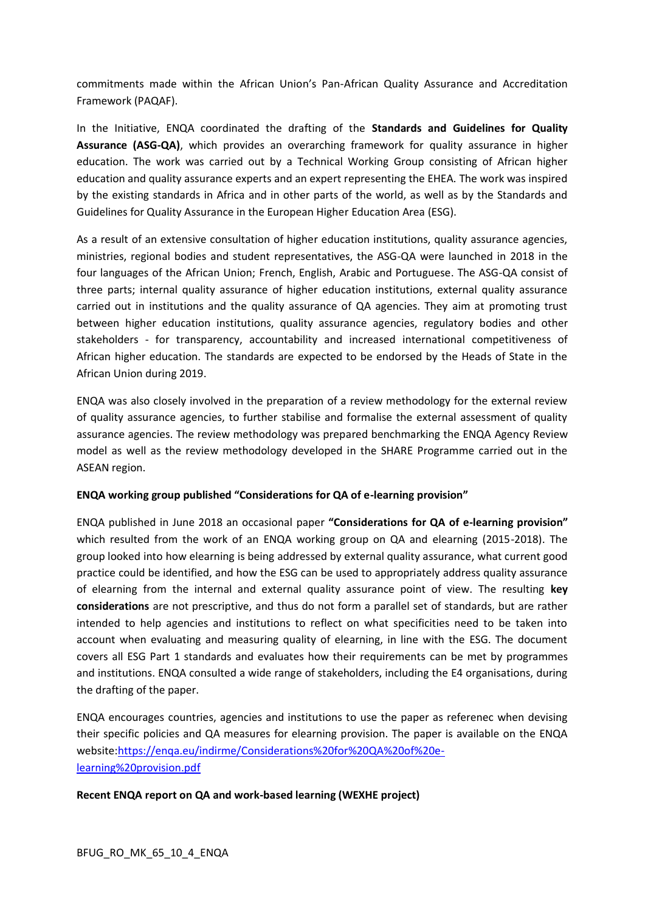commitments made within the African Union's Pan-African Quality Assurance and Accreditation Framework (PAQAF).

In the Initiative, ENQA coordinated the drafting of the **Standards and Guidelines for Quality Assurance (ASG-QA)**, which provides an overarching framework for quality assurance in higher education. The work was carried out by a Technical Working Group consisting of African higher education and quality assurance experts and an expert representing the EHEA. The work was inspired by the existing standards in Africa and in other parts of the world, as well as by the Standards and Guidelines for Quality Assurance in the European Higher Education Area (ESG).

As a result of an extensive consultation of higher education institutions, quality assurance agencies, ministries, regional bodies and student representatives, the ASG-QA were launched in 2018 in the four languages of the African Union; French, English, Arabic and Portuguese. The ASG-QA consist of three parts; internal quality assurance of higher education institutions, external quality assurance carried out in institutions and the quality assurance of QA agencies. They aim at promoting trust between higher education institutions, quality assurance agencies, regulatory bodies and other stakeholders - for transparency, accountability and increased international competitiveness of African higher education. The standards are expected to be endorsed by the Heads of State in the African Union during 2019.

ENQA was also closely involved in the preparation of a review methodology for the external review of quality assurance agencies, to further stabilise and formalise the external assessment of quality assurance agencies. The review methodology was prepared benchmarking the ENQA Agency Review model as well as the review methodology developed in the SHARE Programme carried out in the ASEAN region.

### **ENQA working group published "Considerations for QA of e-learning provision"**

ENQA published in June 2018 an occasional paper **"Considerations for QA of e-learning provision"** which resulted from the work of an ENQA working group on QA and elearning (2015-2018). The group looked into how elearning is being addressed by external quality assurance, what current good practice could be identified, and how the ESG can be used to appropriately address quality assurance of elearning from the internal and external quality assurance point of view. The resulting **key considerations** are not prescriptive, and thus do not form a parallel set of standards, but are rather intended to help agencies and institutions to reflect on what specificities need to be taken into account when evaluating and measuring quality of elearning, in line with the ESG. The document covers all ESG Part 1 standards and evaluates how their requirements can be met by programmes and institutions. ENQA consulted a wide range of stakeholders, including the E4 organisations, during the drafting of the paper.

ENQA encourages countries, agencies and institutions to use the paper as referenec when devising their specific policies and QA measures for elearning provision. The paper is available on the ENQA website[:https://enqa.eu/indirme/Considerations%20for%20QA%20of%20e](https://enqa.eu/indirme/Considerations%20for%20QA%20of%20e-learning%20provision.pdf)[learning%20provision.pdf](https://enqa.eu/indirme/Considerations%20for%20QA%20of%20e-learning%20provision.pdf)

### **Recent ENQA report on QA and work-based learning (WEXHE project)**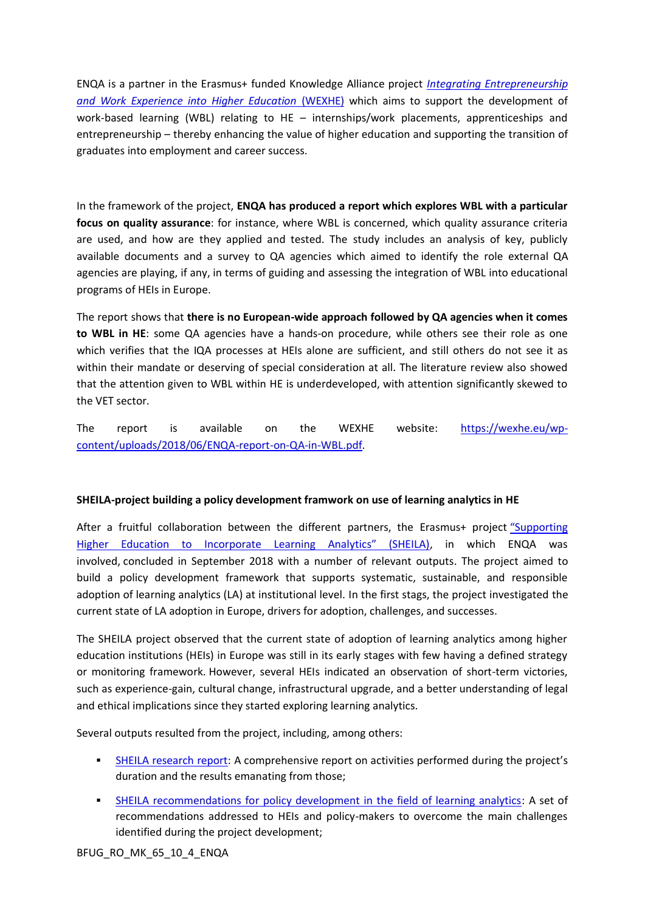ENQA is a partner in the Erasmus+ funded Knowledge Alliance project *[Integrating Entrepreneurship](https://wexhe.eu/)  [and Work Experience into Higher Education](https://wexhe.eu/)* (WEXHE) which aims to support the development of work-based learning (WBL) relating to HE – internships/work placements, apprenticeships and entrepreneurship – thereby enhancing the value of higher education and supporting the transition of graduates into employment and career success.

In the framework of the project, **ENQA has produced a report which explores WBL with a particular focus on quality assurance**: for instance, where WBL is concerned, which quality assurance criteria are used, and how are they applied and tested. The study includes an analysis of key, publicly available documents and a survey to QA agencies which aimed to identify the role external QA agencies are playing, if any, in terms of guiding and assessing the integration of WBL into educational programs of HEIs in Europe.

The report shows that **there is no European-wide approach followed by QA agencies when it comes to WBL in HE**: some QA agencies have a hands-on procedure, while others see their role as one which verifies that the IQA processes at HEIs alone are sufficient, and still others do not see it as within their mandate or deserving of special consideration at all. The literature review also showed that the attention given to WBL within HE is underdeveloped, with attention significantly skewed to the VET sector.

The report is available on the WEXHE website: [https://wexhe.eu/wp](https://wexhe.eu/wp-content/uploads/2018/06/ENQA-report-on-QA-in-WBL.pdf)[content/uploads/2018/06/ENQA-report-on-QA-in-WBL.pdf.](https://wexhe.eu/wp-content/uploads/2018/06/ENQA-report-on-QA-in-WBL.pdf)

### **SHEILA-project building a policy development framwork on use of learning analytics in HE**

After a fruitful collaboration between the different partners, the Erasmus+ project ["Supporting](http://sheilaproject.eu/)  [Higher Education to Incorporate Learning Analytics" \(SHEILA\)](http://sheilaproject.eu/), in which ENQA was involved, concluded in September 2018 with a number of relevant outputs. The project aimed to build a policy development framework that supports systematic, sustainable, and responsible adoption of learning analytics (LA) at institutional level. In the first stags, the project investigated the current state of LA adoption in Europe, drivers for adoption, challenges, and successes.

The SHEILA project observed that the current state of adoption of learning analytics among higher education institutions (HEIs) in Europe was still in its early stages with few having a defined strategy or monitoring framework. However, several HEIs indicated an observation of short-term victories, such as experience-gain, cultural change, infrastructural upgrade, and a better understanding of legal and ethical implications since they started exploring learning analytics.

Several outputs resulted from the project, including, among others:

- [SHEILA research report](http://sheilaproject.eu/wp-content/uploads/2018/11/SHEILA-research-report.pdf): A comprehensive report on activities performed during the project's duration and the results emanating from those;
- [SHEILA recommendations for policy development in the field of learning analytics:](https://enqa.eu/wp-content/uploads/2018/12/Publication-Recommendations-for-policy-development-in-the-field-of.pdf) A set of recommendations addressed to HEIs and policy-makers to overcome the main challenges identified during the project development;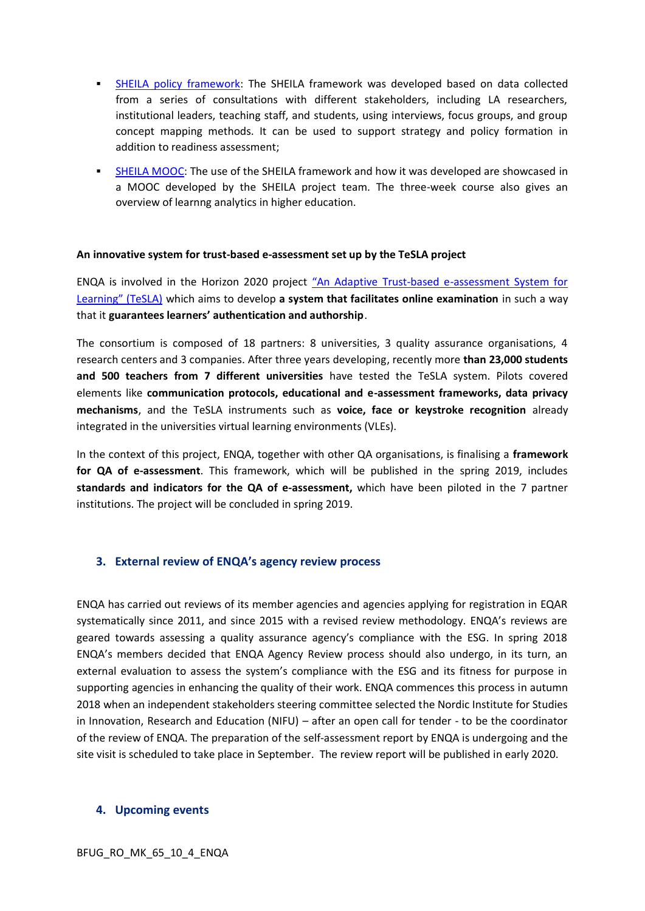- **EXEMICA policy framework:** The SHEILA framework was developed based on data collected from a series of consultations with different stakeholders, including LA researchers, institutional leaders, teaching staff, and students, using interviews, focus groups, and group concept mapping methods. It can be used to support strategy and policy formation in addition to readiness assessment;
- **EXAMOOC:** The use of the SHEILA framework and how it was developed are showcased in a MOOC developed by the SHEILA project team. The three-week course also gives an overview of learnng analytics in higher education.

#### **An innovative system for trust-based e-assessment set up by the TeSLA project**

ENQA is involved in the Horizon 2020 project "An Adaptive Trust[-based e-assessment System for](https://tesla-project.eu/)  [Learning" \(TeSLA\)](https://tesla-project.eu/) which aims to develop **a system that facilitates online examination** in such a way that it **guarantees learners' authentication and authorship**.

The consortium is composed of 18 partners: 8 universities, 3 quality assurance organisations, 4 research centers and 3 companies. After three years developing, recently more **than 23,000 students and 500 teachers from 7 different universities** have tested the TeSLA system. Pilots covered elements like **communication protocols, educational and e-assessment frameworks, data privacy mechanisms**, and the TeSLA instruments such as **voice, face or keystroke recognition** already integrated in the universities virtual learning environments (VLEs).

In the context of this project, ENQA, together with other QA organisations, is finalising a **framework for QA of e-assessment**. This framework, which will be published in the spring 2019, includes **standards and indicators for the QA of e-assessment,** which have been piloted in the 7 partner institutions. The project will be concluded in spring 2019.

#### **3. External review of ENQA's agency review process**

ENQA has carried out reviews of its member agencies and agencies applying for registration in EQAR systematically since 2011, and since 2015 with a revised review methodology. ENQA's reviews are geared towards assessing a quality assurance agency's compliance with the ESG. In spring 2018 ENQA's members decided that ENQA Agency Review process should also undergo, in its turn, an external evaluation to assess the system's compliance with the ESG and its fitness for purpose in supporting agencies in enhancing the quality of their work. ENQA commences this process in autumn 2018 when an independent stakeholders steering committee selected the Nordic Institute for Studies in Innovation, Research and Education (NIFU) – after an open call for tender - to be the coordinator of the review of ENQA. The preparation of the self-assessment report by ENQA is undergoing and the site visit is scheduled to take place in September. The review report will be published in early 2020.

#### **4. Upcoming events**